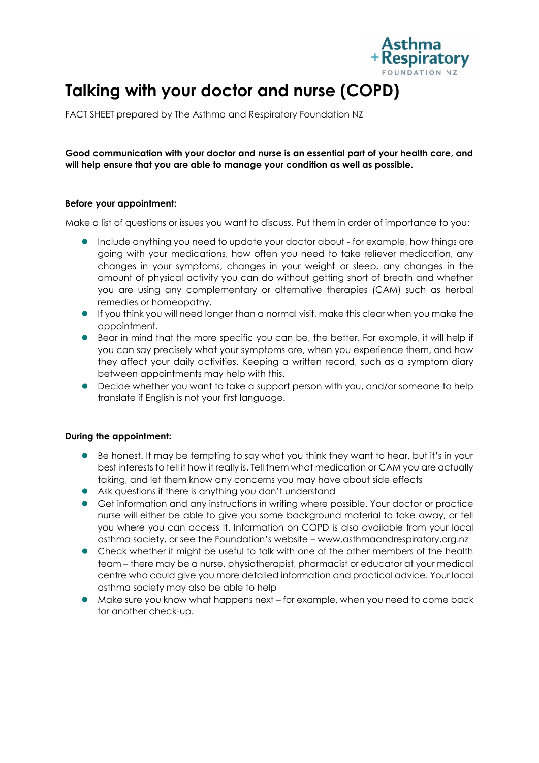

# **Talking with your doctor and nurse (COPD)**

FACT SHEET prepared by The Asthma and Respiratory Foundation NZ

**Good communication with your doctor and nurse is an essential part of your health care, and will help ensure that you are able to manage your condition as well as possible.** 

## **Before your appointment:**

Make a list of questions or issues you want to discuss. Put them in order of importance to you:

- Include anything you need to update your doctor about for example, how things are going with your medications, how often you need to take reliever medication, any changes in your symptoms, changes in your weight or sleep, any changes in the amount of physical activity you can do without getting short of breath and whether you are using any complementary or alternative therapies (CAM) such as herbal remedies or homeopathy.
- If you think you will need longer than a normal visit, make this clear when you make the appointment.
- **Bear in mind that the more specific you can be, the better. For example, it will help if** you can say precisely what your symptoms are, when you experience them, and how they affect your daily activities. Keeping a written record, such as a symptom diary between appointments may help with this.
- Decide whether you want to take a support person with you, and/or someone to help translate if English is not your first language.

## **During the appointment:**

- Be honest. It may be tempting to say what you think they want to hear, but it's in your best interests to tell it how it really is. Tell them what medication or CAM you are actually taking, and let them know any concerns you may have about side effects
- Ask questions if there is anything you don't understand
- Get information and any instructions in writing where possible. Your doctor or practice nurse will either be able to give you some background material to take away, or tell you where you can access it. Information on COPD is also available from your local asthma society, or see the Foundation's website – www.asthmaandrespiratory.org.nz
- Check whether it might be useful to talk with one of the other members of the health team – there may be a nurse, physiotherapist, pharmacist or educator at your medical centre who could give you more detailed information and practical advice. Your local asthma society may also be able to help
- Make sure you know what happens next for example, when you need to come back for another check-up.